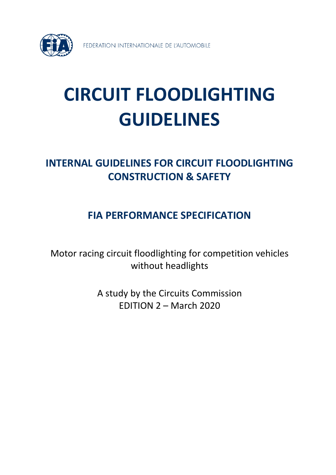

# **CIRCUIT FLOODLIGHTING GUIDELINES**

# **INTERNAL GUIDELINES FOR CIRCUIT FLOODLIGHTING CONSTRUCTION & SAFETY**

## **FIA PERFORMANCE SPECIFICATION**

Motor racing circuit floodlighting for competition vehicles without headlights

> A study by the Circuits Commission EDITION 2 – March 2020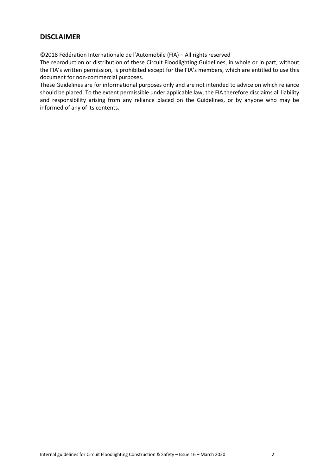### <span id="page-1-0"></span>**DISCLAIMER**

©2018 Fédération Internationale de l'Automobile (FIA) – All rights reserved

The reproduction or distribution of these Circuit Floodlighting Guidelines, in whole or in part, without the FIA's written permission, is prohibited except for the FIA's members, which are entitled to use this document for non-commercial purposes.

These Guidelines are for informational purposes only and are not intended to advice on which reliance should be placed. To the extent permissible under applicable law, the FIA therefore disclaims all liability and responsibility arising from any reliance placed on the Guidelines, or by anyone who may be informed of any of its contents.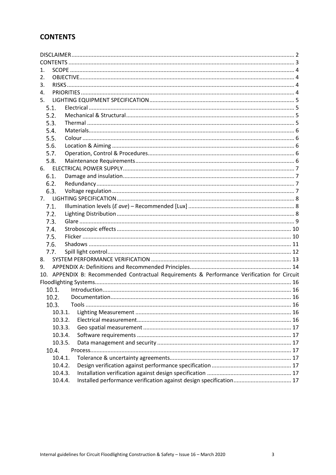### <span id="page-2-0"></span>**CONTENTS**

| 1.             |                                                                                             |  |  |
|----------------|---------------------------------------------------------------------------------------------|--|--|
| 2.             |                                                                                             |  |  |
| 3.             |                                                                                             |  |  |
| 4.             |                                                                                             |  |  |
| 5.             |                                                                                             |  |  |
| 5.1.           |                                                                                             |  |  |
| 5.2.           |                                                                                             |  |  |
| 5.3.           |                                                                                             |  |  |
| 5.4.           |                                                                                             |  |  |
| 5.5.           |                                                                                             |  |  |
| 5.6.           |                                                                                             |  |  |
| 5.7.           |                                                                                             |  |  |
| 5.8.           |                                                                                             |  |  |
| 6.             |                                                                                             |  |  |
| 6.1.           |                                                                                             |  |  |
| 6.2.           |                                                                                             |  |  |
| 6.3.           |                                                                                             |  |  |
| 7 <sub>1</sub> |                                                                                             |  |  |
| 7.1.           |                                                                                             |  |  |
| 7.2.           |                                                                                             |  |  |
| 7.3.           |                                                                                             |  |  |
| 7.4.           |                                                                                             |  |  |
| 7.5.           |                                                                                             |  |  |
| 7.6.           |                                                                                             |  |  |
| 7.7.           |                                                                                             |  |  |
| 8.             |                                                                                             |  |  |
| 9.             |                                                                                             |  |  |
|                | 10. APPENDIX B: Recommended Contractual Requirements & Performance Verification for Circuit |  |  |
|                |                                                                                             |  |  |
| 10.1.          |                                                                                             |  |  |
| 10.2.          |                                                                                             |  |  |
| 10.3.          |                                                                                             |  |  |
| 10.3.1.        |                                                                                             |  |  |
| 10.3.2.        |                                                                                             |  |  |
| 10.3.3.        |                                                                                             |  |  |
| 10.3.4.        |                                                                                             |  |  |
| 10.3.5.        |                                                                                             |  |  |
| 10.4.          |                                                                                             |  |  |
| 10.4.1.        |                                                                                             |  |  |
| 10.4.2.        |                                                                                             |  |  |
| 10.4.3.        |                                                                                             |  |  |
| 10.4.4.        |                                                                                             |  |  |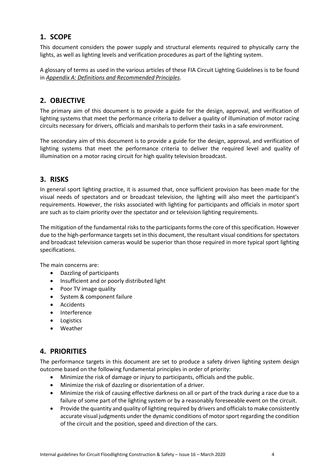### <span id="page-3-0"></span>**1. SCOPE**

This document considers the power supply and structural elements required to physically carry the lights, as well as lighting levels and verification procedures as part of the lighting system.

A glossary of terms as used in the various articles of these FIA Circuit Lighting Guidelines is to be found in *Appendix A: Definitions and Recommended Principles*.

### <span id="page-3-1"></span>**2. OBJECTIVE**

The primary aim of this document is to provide a guide for the design, approval, and verification of lighting systems that meet the performance criteria to deliver a quality of illumination of motor racing circuits necessary for drivers, officials and marshals to perform their tasks in a safe environment.

The secondary aim of this document is to provide a guide for the design, approval, and verification of lighting systems that meet the performance criteria to deliver the required level and quality of illumination on a motor racing circuit for high quality television broadcast.

### <span id="page-3-2"></span>**3. RISKS**

In general sport lighting practice, it is assumed that, once sufficient provision has been made for the visual needs of spectators and or broadcast television, the lighting will also meet the participant's requirements. However, the risks associated with lighting for participants and officials in motor sport are such as to claim priority over the spectator and or television lighting requirements.

The mitigation of the fundamental risks to the participants forms the core of this specification. However due to the high-performance targets set in this document, the resultant visual conditions for spectators and broadcast television cameras would be superior than those required in more typical sport lighting specifications.

The main concerns are:

- Dazzling of participants
- Insufficient and or poorly distributed light
- Poor TV image quality
- System & component failure
- Accidents
- Interference
- Logistics
- Weather

### <span id="page-3-3"></span>**4. PRIORITIES**

The performance targets in this document are set to produce a safety driven lighting system design outcome based on the following fundamental principles in order of priority:

- Minimize the risk of damage or injury to participants, officials and the public.
- Minimize the risk of dazzling or disorientation of a driver.
- Minimize the risk of causing effective darkness on all or part of the track during a race due to a failure of some part of the lighting system or by a reasonably foreseeable event on the circuit.
- Provide the quantity and quality of lighting required by drivers and officials to make consistently accurate visual judgments under the dynamic conditions of motor sport regarding the condition of the circuit and the position, speed and direction of the cars.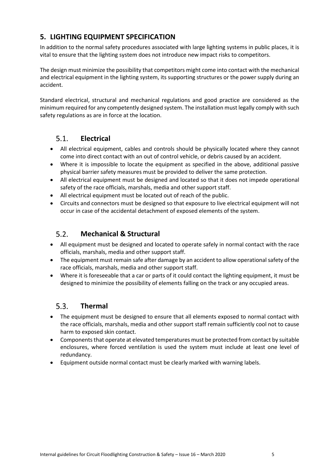### <span id="page-4-0"></span>**5. LIGHTING EQUIPMENT SPECIFICATION**

In addition to the normal safety procedures associated with large lighting systems in public places, it is vital to ensure that the lighting system does not introduce new impact risks to competitors.

The design must minimize the possibility that competitors might come into contact with the mechanical and electrical equipment in the lighting system, its supporting structures or the power supply during an accident.

Standard electrical, structural and mechanical regulations and good practice are considered as the minimum required for any competently designed system. The installation must legally comply with such safety regulations as are in force at the location.

#### <span id="page-4-1"></span> $5.1.$ **Electrical**

- All electrical equipment, cables and controls should be physically located where they cannot come into direct contact with an out of control vehicle, or debris caused by an accident.
- Where it is impossible to locate the equipment as specified in the above, additional passive physical barrier safety measures must be provided to deliver the same protection.
- All electrical equipment must be designed and located so that it does not impede operational safety of the race officials, marshals, media and other support staff.
- All electrical equipment must be located out of reach of the public.
- Circuits and connectors must be designed so that exposure to live electrical equipment will not occur in case of the accidental detachment of exposed elements of the system.

#### <span id="page-4-2"></span> $5.2.$ **Mechanical & Structural**

- All equipment must be designed and located to operate safely in normal contact with the race officials, marshals, media and other support staff.
- The equipment must remain safe after damage by an accident to allow operational safety of the race officials, marshals, media and other support staff.
- Where it is foreseeable that a car or parts of it could contact the lighting equipment, it must be designed to minimize the possibility of elements falling on the track or any occupied areas.

#### <span id="page-4-3"></span> $5.3.$ **Thermal**

- The equipment must be designed to ensure that all elements exposed to normal contact with the race officials, marshals, media and other support staff remain sufficiently cool not to cause harm to exposed skin contact.
- Components that operate at elevated temperatures must be protected from contact by suitable enclosures, where forced ventilation is used the system must include at least one level of redundancy.
- Equipment outside normal contact must be clearly marked with warning labels.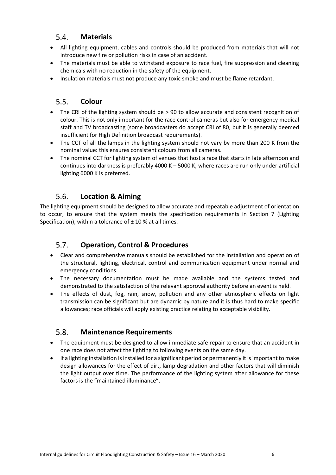#### $5.4.$ **Materials**

- <span id="page-5-0"></span>• All lighting equipment, cables and controls should be produced from materials that will not introduce new fire or pollution risks in case of an accident.
- The materials must be able to withstand exposure to race fuel, fire suppression and cleaning chemicals with no reduction in the safety of the equipment.
- Insulation materials must not produce any toxic smoke and must be flame retardant.

#### <span id="page-5-1"></span> $5.5.$ **Colour**

- The CRI of the lighting system should be > 90 to allow accurate and consistent recognition of colour. This is not only important for the race control cameras but also for emergency medical staff and TV broadcasting (some broadcasters do accept CRI of 80, but it is generally deemed insufficient for High Definition broadcast requirements).
- The CCT of all the lamps in the lighting system should not vary by more than 200 K from the nominal value: this ensures consistent colours from all cameras.
- The nominal CCT for lighting system of venues that host a race that starts in late afternoon and continues into darkness is preferably 4000 K  $-$  5000 K; where races are run only under artificial lighting 6000 K is preferred.

#### <span id="page-5-2"></span> $5.6.$ **Location & Aiming**

The lighting equipment should be designed to allow accurate and repeatable adjustment of orientation to occur, to ensure that the system meets the specification requirements in Section 7 (Lighting Specification), within a tolerance of  $\pm$  10 % at all times.

#### <span id="page-5-3"></span> $5.7.$ **Operation, Control & Procedures**

- Clear and comprehensive manuals should be established for the installation and operation of the structural, lighting, electrical, control and communication equipment under normal and emergency conditions.
- The necessary documentation must be made available and the systems tested and demonstrated to the satisfaction of the relevant approval authority before an event is held.
- The effects of dust, fog, rain, snow, pollution and any other atmospheric effects on light transmission can be significant but are dynamic by nature and it is thus hard to make specific allowances; race officials will apply existing practice relating to acceptable visibility.

#### <span id="page-5-4"></span> $5.8.$ **Maintenance Requirements**

- The equipment must be designed to allow immediate safe repair to ensure that an accident in one race does not affect the lighting to following events on the same day.
- If a lighting installation is installed for a significant period or permanently it is important to make design allowances for the effect of dirt, lamp degradation and other factors that will diminish the light output over time. The performance of the lighting system after allowance for these factors is the "maintained illuminance".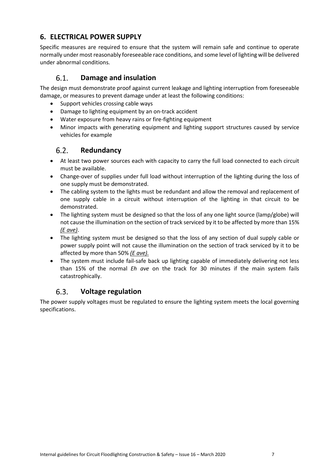### <span id="page-6-0"></span>**6. ELECTRICAL POWER SUPPLY**

Specific measures are required to ensure that the system will remain safe and continue to operate normally under most reasonably foreseeable race conditions, and some level of lighting will be delivered under abnormal conditions.

#### $6.1$ **Damage and insulation**

<span id="page-6-1"></span>The design must demonstrate proof against current leakage and lighting interruption from foreseeable damage, or measures to prevent damage under at least the following conditions:

- Support vehicles crossing cable ways
- Damage to lighting equipment by an on-track accident
- Water exposure from heavy rains or fire-fighting equipment
- <span id="page-6-2"></span>• Minor impacts with generating equipment and lighting support structures caused by service vehicles for example

#### $6.2.$ **Redundancy**

- At least two power sources each with capacity to carry the full load connected to each circuit must be available.
- Change-over of supplies under full load without interruption of the lighting during the loss of one supply must be demonstrated.
- The cabling system to the lights must be redundant and allow the removal and replacement of one supply cable in a circuit without interruption of the lighting in that circuit to be demonstrated.
- The lighting system must be designed so that the loss of any one light source (lamp/globe) will not cause the illumination on the section of track serviced by it to be affected by more than 15% *(E ave)*.
- The lighting system must be designed so that the loss of any section of dual supply cable or power supply point will not cause the illumination on the section of track serviced by it to be affected by more than 50% *(E ave).*
- The system must include fail-safe back up lighting capable of immediately delivering not less than 15% of the normal *Eh ave* on the track for 30 minutes if the main system fails catastrophically.

#### $6.3.$ **Voltage regulation**

<span id="page-6-3"></span>The power supply voltages must be regulated to ensure the lighting system meets the local governing specifications.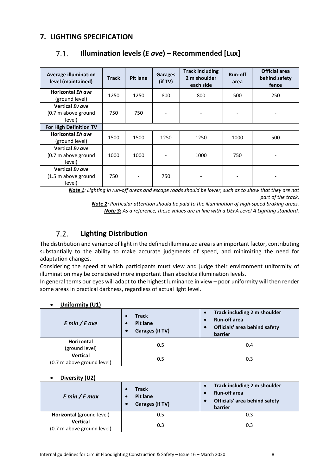### <span id="page-7-1"></span><span id="page-7-0"></span>**7. LIGHTING SPECIFICATION**

| <b>Average illumination</b><br>level (maintained)       | <b>Track</b> | <b>Pit lane</b> | <b>Garages</b><br>(if TV)    | <b>Track including</b><br>2 m shoulder<br>each side | Run-off<br>area | <b>Official area</b><br>behind safety<br>fence |
|---------------------------------------------------------|--------------|-----------------|------------------------------|-----------------------------------------------------|-----------------|------------------------------------------------|
| <b>Horizontal Eh ave</b><br>(ground level)              | 1250         | 1250            | 800                          | 800                                                 | 500             | 250                                            |
| Vertical Ev ave<br>(0.7 m above ground<br>level)        | 750          | 750             | $\overline{a}$               |                                                     |                 |                                                |
| For High Definition TV                                  |              |                 |                              |                                                     |                 |                                                |
| <b>Horizontal Eh ave</b><br>(ground level)              | 1500         | 1500            | 1250                         | 1250                                                | 1000            | 500                                            |
| Vertical Ev ave<br>(0.7 m above ground<br>level)        | 1000         | 1000            | $\qquad \qquad \blacksquare$ | 1000                                                | 750             |                                                |
| <b>Vertical Ev ave</b><br>(1.5 m above ground<br>level) | 750          |                 | 750                          |                                                     |                 |                                                |

#### $7.1.$ **Illumination levels (***E ave***) – Recommended [Lux]**

*Note 1: Lighting in run-off areas and escape roads should be lower, such as to show that they are not part of the track.*

*Note 2: Particular attention should be paid to the illumination of high-speed braking areas. Note 3: As a reference, these values are in line with a UEFA Level A Lighting standard.*

#### <span id="page-7-2"></span> $7.2.$ **Lighting Distribution**

The distribution and variance of light in the defined illuminated area is an important factor, contributing substantially to the ability to make accurate judgments of speed, and minimizing the need for adaptation changes.

Considering the speed at which participants must view and judge their environment uniformity of illumination may be considered more important than absolute illumination levels.

In general terms our eyes will adapt to the highest luminance in view – poor uniformity will then render some areas in practical darkness, regardless of actual light level.

| UIIIUI IIIILY (UT)                            |                                                          |                                                                                                 |  |  |  |
|-----------------------------------------------|----------------------------------------------------------|-------------------------------------------------------------------------------------------------|--|--|--|
| $E$ min / $E$ ave                             | Track<br><b>Pit lane</b><br>Garages (if TV)<br>$\bullet$ | Track including 2 m shoulder<br><b>Run-off area</b><br>Officials' area behind safety<br>barrier |  |  |  |
| Horizontal<br>(ground level)                  | 0.5                                                      | 0.4                                                                                             |  |  |  |
| <b>Vertical</b><br>(0.7 m above ground level) | 0.5                                                      | 0.3                                                                                             |  |  |  |

### • **Uniformity (U1)**

#### • **Diversity (U2)**

| $E \text{ min}/E \text{ max}$                 | <b>Track</b><br><b>Pit lane</b><br>Garages (if TV) | Track including 2 m shoulder<br>$\bullet$<br><b>Run-off area</b><br>٠<br>Officials' area behind safety<br>$\bullet$<br>barrier |
|-----------------------------------------------|----------------------------------------------------|--------------------------------------------------------------------------------------------------------------------------------|
| Horizontal (ground level)                     | 0.5                                                | 0.3                                                                                                                            |
| <b>Vertical</b><br>(0.7 m above ground level) | 0.3                                                | 0.3                                                                                                                            |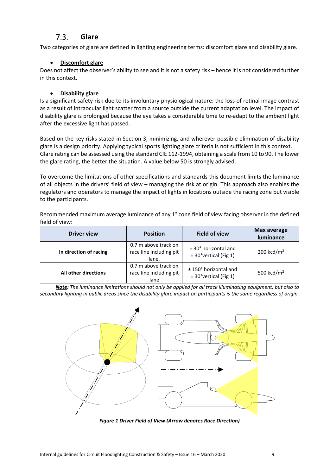#### $7.3$ **Glare**

<span id="page-8-0"></span>Two categories of glare are defined in lighting engineering terms: discomfort glare and disability glare.

### • **Discomfort glare**

Does not affect the observer's ability to see and it is not a safety risk – hence it is not considered further in this context.

#### • **Disability glare**

Is a significant safety risk due to its involuntary physiological nature: the loss of retinal image contrast as a result of intraocular light scatter from a source outside the current adaptation level. The impact of disability glare is prolonged because the eye takes a considerable time to re-adapt to the ambient light after the excessive light has passed.

Based on the key risks stated in Section 3, minimizing, and wherever possible elimination of disability glare is a design priority. Applying typical sports lighting glare criteria is not sufficient in this context. Glare rating can be assessed using the standard CIE 112-1994, obtaining a scale from 10 to 90. The lower the glare rating, the better the situation. A value below 50 is strongly advised.

To overcome the limitations of other specifications and standards this document limits the luminance of all objects in the drivers' field of view – managing the risk at origin. This approach also enables the regulators and operators to manage the impact of lights in locations outside the racing zone but visible to the participants.

Recommended maximum average luminance of any 1° cone field of view facing observer in the defined field of view:

| <b>Driver view</b>          | <b>Position</b>                                          | <b>Field of view</b>                              | <b>Max average</b><br>luminance |
|-----------------------------|----------------------------------------------------------|---------------------------------------------------|---------------------------------|
| In direction of racing      | 0.7 m above track on<br>race line including pit<br>lane. | $± 30°$ horizontal and<br>± 30°vertical (Fig 1)   | 200 kcd/ $m2$                   |
| <b>All other directions</b> | 0.7 m above track on<br>race line including pit<br>lane  | ± 150° horizontal and<br>$± 30°$ vertical (Fig 1) | 500 kcd/ $m2$                   |

*Note: The luminance limitations should not only be applied for all track illuminating equipment, but also to secondary lighting in public areas since the disability glare impact on participants is the same regardless of origin.*



*Figure 1 Driver Field of View (Arrow denotes Race Direction)*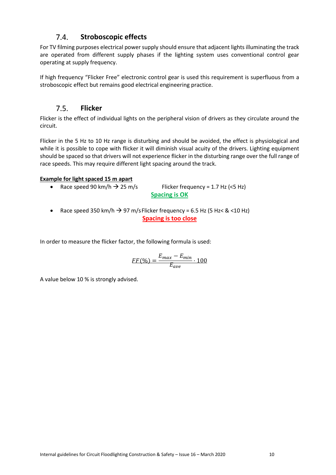#### $7.4.$ **Stroboscopic effects**

<span id="page-9-0"></span>For TV filming purposes electrical power supply should ensure that adjacent lights illuminating the track are operated from different supply phases if the lighting system uses conventional control gear operating at supply frequency.

If high frequency "Flicker Free" electronic control gear is used this requirement is superfluous from a stroboscopic effect but remains good electrical engineering practice.

#### $7.5.$ **Flicker**

<span id="page-9-1"></span>Flicker is the effect of individual lights on the peripheral vision of drivers as they circulate around the circuit.

Flicker in the 5 Hz to 10 Hz range is disturbing and should be avoided, the effect is physiological and while it is possible to cope with flicker it will diminish visual acuity of the drivers. Lighting equipment should be spaced so that drivers will not experience flicker in the disturbing range over the full range of race speeds. This may require different light spacing around the track.

### **Example for light spaced 15 m apart**

• Race speed 90 km/h  $\rightarrow$  25 m/s Flicker frequency = 1.7 Hz (<5 Hz) **Spacing is OK**

• Race speed 350 km/h  $\rightarrow$  97 m/s Flicker frequency = 6.5 Hz (5 Hz < & <10 Hz) **Spacing is too close**

In order to measure the flicker factor, the following formula is used:

$$
FF(\%) = \frac{E_{max} - E_{min}}{E_{ave}} \cdot 100
$$

A value below 10 % is strongly advised.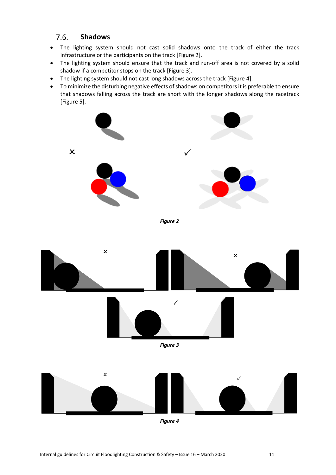#### $7.6.$ **Shadows**

- <span id="page-10-0"></span>• The lighting system should not cast solid shadows onto the track of either the track infrastructure or the participants on the track [Figure 2].
- The lighting system should ensure that the track and run-off area is not covered by a solid shadow if a competitor stops on the track [Figure 3].
- The lighting system should not cast long shadows across the track [Figure 4].
- To minimize the disturbing negative effects of shadows on competitors it is preferable to ensure that shadows falling across the track are short with the longer shadows along the racetrack [Figure 5].



*Figure 2* 





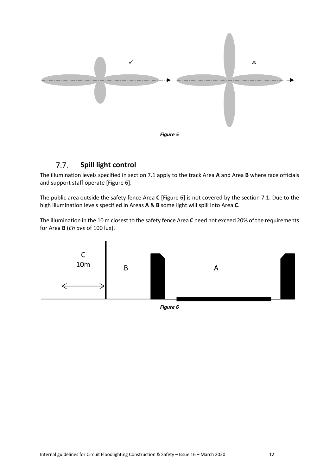

#### <span id="page-11-0"></span> $7.7.$ **Spill light control**

The illumination levels specified in section 7.1 apply to the track Area **A** and Area **B** where race officials and support staff operate [Figure 6].

The public area outside the safety fence Area **C** [Figure 6] is not covered by the section 7.1. Due to the high illumination levels specified in Areas **A** & **B** some light will spill into Area **C**.

The illumination in the 10 m closest to the safety fence Area **C** need not exceed 20% of the requirements for Area **B** (*Eh ave* of 100 lux).



*Figure 6*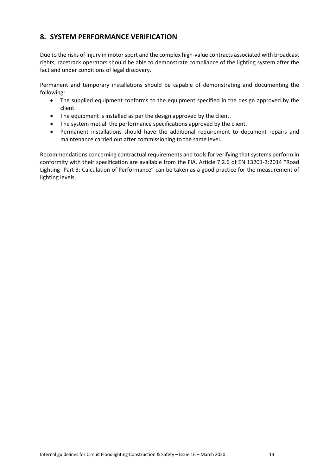### <span id="page-12-0"></span>**8. SYSTEM PERFORMANCE VERIFICATION**

Due to the risks of injury in motor sport and the complex high-value contracts associated with broadcast rights, racetrack operators should be able to demonstrate compliance of the lighting system after the fact and under conditions of legal discovery.

Permanent and temporary installations should be capable of demonstrating and documenting the following:

- The supplied equipment conforms to the equipment specified in the design approved by the client.
- The equipment is installed as per the design approved by the client.
- The system met all the performance specifications approved by the client.
- Permanent installations should have the additional requirement to document repairs and maintenance carried out after commissioning to the same level.

Recommendations concerning contractual requirements and tools for verifying that systems perform in conformity with their specification are available from the FIA. Article 7.2.6 of EN 13201-3:2014 "Road Lighting- Part 3: Calculation of Performance" can be taken as a good practice for the measurement of lighting levels.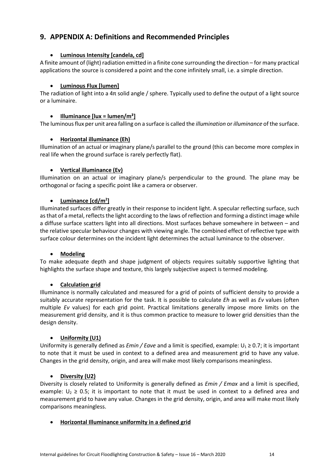### <span id="page-13-0"></span>**9. APPENDIX A: Definitions and Recommended Principles**

### • **Luminous Intensity [candela, cd]**

A finite amount of (light) radiation emitted in a finite cone surrounding the direction – for many practical applications the source is considered a point and the cone infinitely small, i.e. a simple direction.

### • **Luminous Flux [lumen]**

The radiation of light into a 4π solid angle / sphere. Typically used to define the output of a light source or a luminaire.

#### • **Illuminance [lux = lumen/m²]**

The luminous flux per unit area falling on a surface is called the *illumination* or *illuminance* of the surface.

### • **Horizontal illuminance (Eh)**

Illumination of an actual or imaginary plane/s parallel to the ground (this can become more complex in real life when the ground surface is rarely perfectly flat).

#### • **Vertical illuminance (Ev)**

Illumination on an actual or imaginary plane/s perpendicular to the ground. The plane may be orthogonal or facing a specific point like a camera or observer.

### • **Luminance [cd/m2 ]**

Illuminated surfaces differ greatly in their response to incident light. A specular reflecting surface, such as that of a metal, reflects the light according to the laws of reflection and forming a distinct image while a diffuse surface scatters light into all directions. Most surfaces behave somewhere in between – and the relative specular behaviour changes with viewing angle. The combined effect of reflective type with surface colour determines on the incident light determines the actual luminance to the observer.

#### • **Modeling**

To make adequate depth and shape judgment of objects requires suitably supportive lighting that highlights the surface shape and texture, this largely subjective aspect is termed modeling.

### • **Calculation grid**

Illuminance is normally calculated and measured for a grid of points of sufficient density to provide a suitably accurate representation for the task. It is possible to calculate *Eh* as well as *Ev* values (often multiple *Ev* values) for each grid point. Practical limitations generally impose more limits on the measurement grid density, and it is thus common practice to measure to lower grid densities than the design density.

### • **Uniformity (U1)**

Uniformity is generally defined as *Emin / Eave* and a limit is specified, example: U1 ≥ 0.7; it is important to note that it must be used in context to a defined area and measurement grid to have any value. Changes in the grid density, origin, and area will make most likely comparisons meaningless.

#### • **Diversity (U2)**

Diversity is closely related to Uniformity is generally defined as *Emin / Emax* and a limit is specified, example:  $U_2 \ge 0.5$ ; it is important to note that it must be used in context to a defined area and measurement grid to have any value. Changes in the grid density, origin, and area will make most likely comparisons meaningless.

#### • **Horizontal Illuminance uniformity in a defined grid**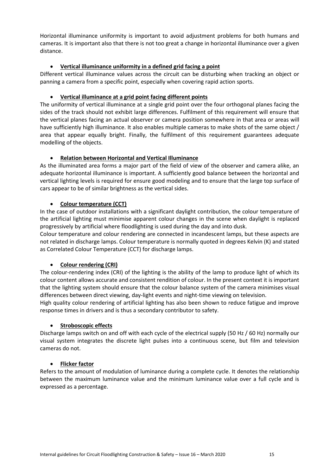Horizontal illuminance uniformity is important to avoid adjustment problems for both humans and cameras. It is important also that there is not too great a change in horizontal illuminance over a given distance.

#### • **Vertical illuminance uniformity in a defined grid facing a point**

Different vertical illuminance values across the circuit can be disturbing when tracking an object or panning a camera from a specific point, especially when covering rapid action sports.

#### • **Vertical illuminance at a grid point facing different points**

The uniformity of vertical illuminance at a single grid point over the four orthogonal planes facing the sides of the track should not exhibit large differences. Fulfilment of this requirement will ensure that the vertical planes facing an actual observer or camera position somewhere in that area or areas will have sufficiently high illuminance. It also enables multiple cameras to make shots of the same object / area that appear equally bright. Finally, the fulfilment of this requirement guarantees adequate modelling of the objects.

#### • **Relation between Horizontal and Vertical Illuminance**

As the illuminated area forms a major part of the field of view of the observer and camera alike, an adequate horizontal illuminance is important. A sufficiently good balance between the horizontal and vertical lighting levels is required for ensure good modeling and to ensure that the large top surface of cars appear to be of similar brightness as the vertical sides.

#### • **Colour temperature (CCT)**

In the case of outdoor installations with a significant daylight contribution, the colour temperature of the artificial lighting must minimise apparent colour changes in the scene when daylight is replaced progressively by artificial where floodlighting is used during the day and into dusk.

Colour temperature and colour rendering are connected in incandescent lamps, but these aspects are not related in discharge lamps. Colour temperature is normally quoted in degrees Kelvin (K) and stated as Correlated Colour Temperature (CCT) for discharge lamps.

### • **Colour rendering (CRI)**

The colour-rendering index (CRI) of the lighting is the ability of the lamp to produce light of which its colour content allows accurate and consistent rendition of colour. In the present context it is important that the lighting system should ensure that the colour balance system of the camera minimises visual differences between direct viewing, day-light events and night-time viewing on television.

High quality colour rendering of artificial lighting has also been shown to reduce fatigue and improve response times in drivers and is thus a secondary contributor to safety.

#### • **Stroboscopic effects**

Discharge lamps switch on and off with each cycle of the electrical supply (50 Hz / 60 Hz) normally our visual system integrates the discrete light pulses into a continuous scene, but film and television cameras do not.

#### • **Flicker factor**

Refers to the amount of modulation of luminance during a complete cycle. It denotes the relationship between the maximum luminance value and the minimum luminance value over a full cycle and is expressed as a percentage.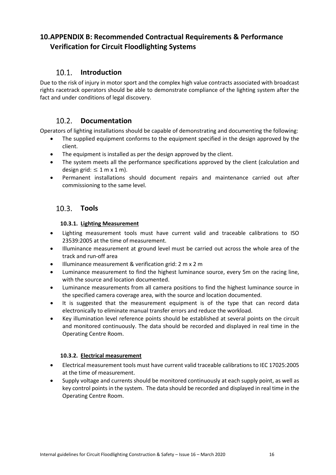### <span id="page-15-0"></span>**10.APPENDIX B: Recommended Contractual Requirements & Performance Verification for Circuit Floodlighting Systems**

#### $10.1$ **Introduction**

<span id="page-15-1"></span>Due to the risk of injury in motor sport and the complex high value contracts associated with broadcast rights racetrack operators should be able to demonstrate compliance of the lighting system after the fact and under conditions of legal discovery.

#### $10.2.$ **Documentation**

<span id="page-15-2"></span>Operators of lighting installations should be capable of demonstrating and documenting the following:

- The supplied equipment conforms to the equipment specified in the design approved by the client.
- The equipment is installed as per the design approved by the client.
- The system meets all the performance specifications approved by the client (calculation and design grid:  $\leq 1$  m x 1 m).
- Permanent installations should document repairs and maintenance carried out after commissioning to the same level.

### <span id="page-15-3"></span>**Tools**

### **10.3.1. Lighting Measurement**

- <span id="page-15-4"></span>• Lighting measurement tools must have current valid and traceable calibrations to ISO 23539:2005 at the time of measurement.
- Illuminance measurement at ground level must be carried out across the whole area of the track and run-off area
- Illuminance measurement & verification grid: 2 m x 2 m
- Luminance measurement to find the highest luminance source, every 5m on the racing line, with the source and location documented.
- Luminance measurements from all camera positions to find the highest luminance source in the specified camera coverage area, with the source and location documented.
- It is suggested that the measurement equipment is of the type that can record data electronically to eliminate manual transfer errors and reduce the workload.
- Key illumination level reference points should be established at several points on the circuit and monitored continuously. The data should be recorded and displayed in real time in the Operating Centre Room.

### **10.3.2. Electrical measurement**

- <span id="page-15-5"></span>• Electrical measurement tools must have current valid traceable calibrations to IEC 17025:2005 at the time of measurement.
- Supply voltage and currents should be monitored continuously at each supply point, as well as key control points in the system. The data should be recorded and displayed in real time in the Operating Centre Room.